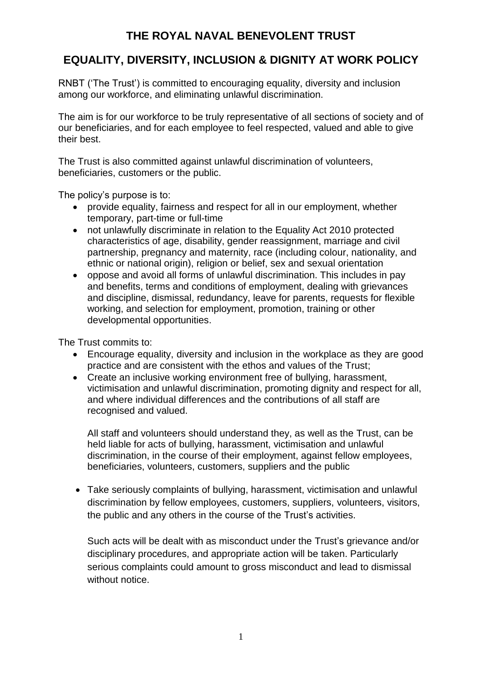# **THE ROYAL NAVAL BENEVOLENT TRUST**

# **EQUALITY, DIVERSITY, INCLUSION & DIGNITY AT WORK POLICY**

RNBT ('The Trust') is committed to encouraging equality, diversity and inclusion among our workforce, and eliminating unlawful discrimination.

The aim is for our workforce to be truly representative of all sections of society and of our beneficiaries, and for each employee to feel respected, valued and able to give their best.

The Trust is also committed against unlawful discrimination of volunteers, beneficiaries, customers or the public.

The policy's purpose is to:

- provide equality, fairness and respect for all in our employment, whether temporary, part-time or full-time
- not unlawfully discriminate in relation to the Equality Act 2010 protected characteristics of age, disability, gender reassignment, marriage and civil partnership, pregnancy and maternity, race (including colour, nationality, and ethnic or national origin), religion or belief, sex and sexual orientation
- oppose and avoid all forms of unlawful discrimination. This includes in pay and benefits, terms and conditions of employment, dealing with grievances and discipline, dismissal, redundancy, leave for parents, requests for flexible working, and selection for employment, promotion, training or other developmental opportunities.

The Trust commits to:

- Encourage equality, diversity and inclusion in the workplace as they are good practice and are consistent with the ethos and values of the Trust;
- Create an inclusive working environment free of bullying, harassment, victimisation and unlawful discrimination, promoting dignity and respect for all, and where individual differences and the contributions of all staff are recognised and valued.

All staff and volunteers should understand they, as well as the Trust, can be held liable for acts of bullying, harassment, victimisation and unlawful discrimination, in the course of their employment, against fellow employees, beneficiaries, volunteers, customers, suppliers and the public

 Take seriously complaints of bullying, harassment, victimisation and unlawful discrimination by fellow employees, customers, suppliers, volunteers, visitors, the public and any others in the course of the Trust's activities.

Such acts will be dealt with as misconduct under the Trust's grievance and/or disciplinary procedures, and appropriate action will be taken. Particularly serious complaints could amount to gross misconduct and lead to dismissal without notice.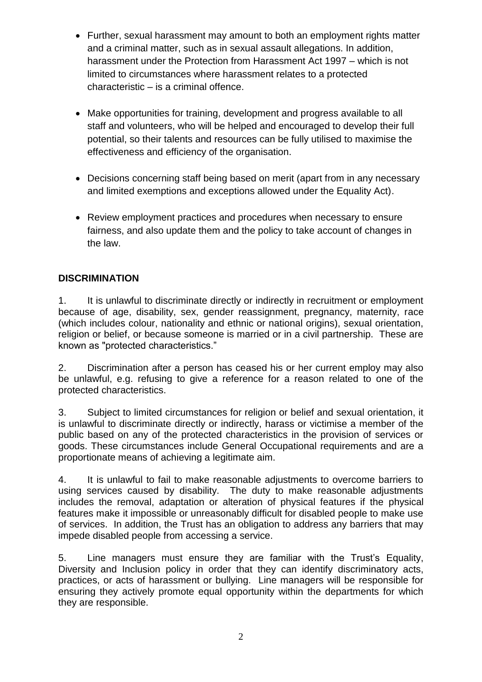- Further, sexual harassment may amount to both an employment rights matter and a criminal matter, such as in sexual assault allegations. In addition, harassment under the Protection from Harassment Act 1997 – which is not limited to circumstances where harassment relates to a protected characteristic – is a criminal offence.
- Make opportunities for training, development and progress available to all staff and volunteers, who will be helped and encouraged to develop their full potential, so their talents and resources can be fully utilised to maximise the effectiveness and efficiency of the organisation.
- Decisions concerning staff being based on merit (apart from in any necessary and limited exemptions and exceptions allowed under the Equality Act).
- Review employment practices and procedures when necessary to ensure fairness, and also update them and the policy to take account of changes in the law.

### **DISCRIMINATION**

1. It is unlawful to discriminate directly or indirectly in recruitment or employment because of age, disability, sex, gender reassignment, pregnancy, maternity, race (which includes colour, nationality and ethnic or national origins), sexual orientation, religion or belief, or because someone is married or in a civil partnership. These are known as "protected characteristics."

2. Discrimination after a person has ceased his or her current employ may also be unlawful, e.g. refusing to give a reference for a reason related to one of the protected characteristics.

3. Subject to limited circumstances for religion or belief and sexual orientation, it is unlawful to discriminate directly or indirectly, harass or victimise a member of the public based on any of the protected characteristics in the provision of services or goods. These circumstances include General Occupational requirements and are a proportionate means of achieving a legitimate aim.

4. It is unlawful to fail to make reasonable adjustments to overcome barriers to using services caused by disability. The duty to make reasonable adjustments includes the removal, adaptation or alteration of physical features if the physical features make it impossible or unreasonably difficult for disabled people to make use of services. In addition, the Trust has an obligation to address any barriers that may impede disabled people from accessing a service.

5. Line managers must ensure they are familiar with the Trust's Equality, Diversity and Inclusion policy in order that they can identify discriminatory acts, practices, or acts of harassment or bullying. Line managers will be responsible for ensuring they actively promote equal opportunity within the departments for which they are responsible.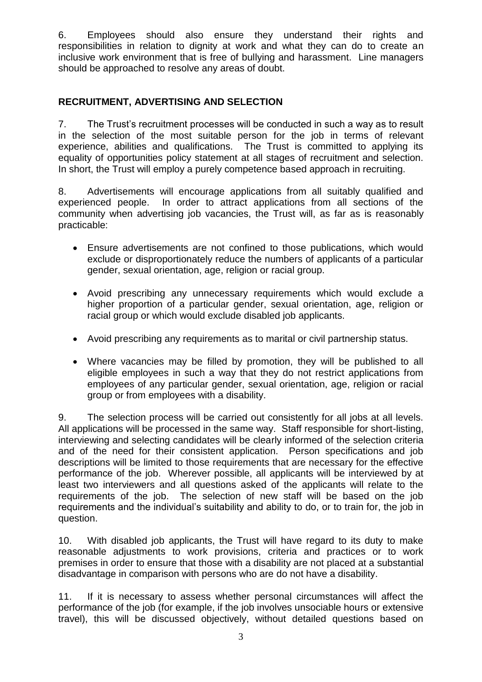6. Employees should also ensure they understand their rights and responsibilities in relation to dignity at work and what they can do to create an inclusive work environment that is free of bullying and harassment. Line managers should be approached to resolve any areas of doubt.

#### **RECRUITMENT, ADVERTISING AND SELECTION**

7. The Trust's recruitment processes will be conducted in such a way as to result in the selection of the most suitable person for the job in terms of relevant experience, abilities and qualifications. The Trust is committed to applying its equality of opportunities policy statement at all stages of recruitment and selection. In short, the Trust will employ a purely competence based approach in recruiting.

8. Advertisements will encourage applications from all suitably qualified and experienced people. In order to attract applications from all sections of the community when advertising job vacancies, the Trust will, as far as is reasonably practicable:

- Ensure advertisements are not confined to those publications, which would exclude or disproportionately reduce the numbers of applicants of a particular gender, sexual orientation, age, religion or racial group.
- Avoid prescribing any unnecessary requirements which would exclude a higher proportion of a particular gender, sexual orientation, age, religion or racial group or which would exclude disabled job applicants.
- Avoid prescribing any requirements as to marital or civil partnership status.
- Where vacancies may be filled by promotion, they will be published to all eligible employees in such a way that they do not restrict applications from employees of any particular gender, sexual orientation, age, religion or racial group or from employees with a disability.

9. The selection process will be carried out consistently for all jobs at all levels. All applications will be processed in the same way. Staff responsible for short-listing, interviewing and selecting candidates will be clearly informed of the selection criteria and of the need for their consistent application. Person specifications and job descriptions will be limited to those requirements that are necessary for the effective performance of the job. Wherever possible, all applicants will be interviewed by at least two interviewers and all questions asked of the applicants will relate to the requirements of the job. The selection of new staff will be based on the job requirements and the individual's suitability and ability to do, or to train for, the job in question.

10. With disabled job applicants, the Trust will have regard to its duty to make reasonable adjustments to work provisions, criteria and practices or to work premises in order to ensure that those with a disability are not placed at a substantial disadvantage in comparison with persons who are do not have a disability.

11. If it is necessary to assess whether personal circumstances will affect the performance of the job (for example, if the job involves unsociable hours or extensive travel), this will be discussed objectively, without detailed questions based on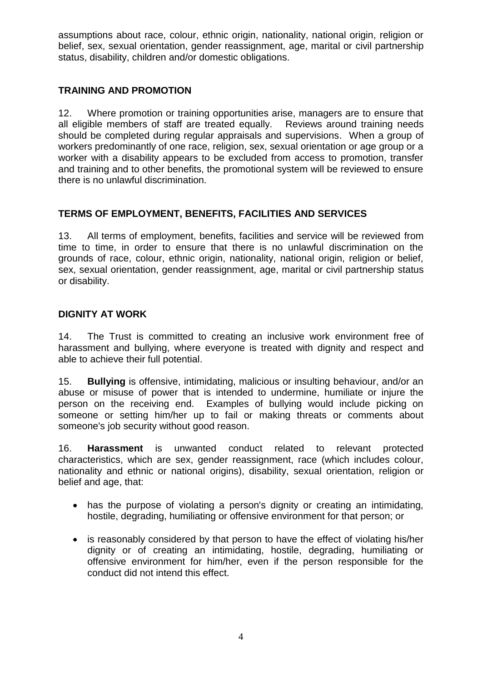assumptions about race, colour, ethnic origin, nationality, national origin, religion or belief, sex, sexual orientation, gender reassignment, age, marital or civil partnership status, disability, children and/or domestic obligations.

#### **TRAINING AND PROMOTION**

12. Where promotion or training opportunities arise, managers are to ensure that all eligible members of staff are treated equally. Reviews around training needs should be completed during regular appraisals and supervisions. When a group of workers predominantly of one race, religion, sex, sexual orientation or age group or a worker with a disability appears to be excluded from access to promotion, transfer and training and to other benefits, the promotional system will be reviewed to ensure there is no unlawful discrimination.

### **TERMS OF EMPLOYMENT, BENEFITS, FACILITIES AND SERVICES**

13. All terms of employment, benefits, facilities and service will be reviewed from time to time, in order to ensure that there is no unlawful discrimination on the grounds of race, colour, ethnic origin, nationality, national origin, religion or belief, sex, sexual orientation, gender reassignment, age, marital or civil partnership status or disability.

### **DIGNITY AT WORK**

14. The Trust is committed to creating an inclusive work environment free of harassment and bullying, where everyone is treated with dignity and respect and able to achieve their full potential.

15. **Bullying** is offensive, intimidating, malicious or insulting behaviour, and/or an abuse or misuse of power that is intended to undermine, humiliate or injure the person on the receiving end. Examples of bullying would include picking on someone or setting him/her up to fail or making threats or comments about someone's job security without good reason.

16. **Harassment** is unwanted conduct related to relevant protected characteristics, which are sex, gender reassignment, race (which includes colour, nationality and ethnic or national origins), disability, sexual orientation, religion or belief and age, that:

- has the purpose of violating a person's dignity or creating an intimidating, hostile, degrading, humiliating or offensive environment for that person; or
- is reasonably considered by that person to have the effect of violating his/her dignity or of creating an intimidating, hostile, degrading, humiliating or offensive environment for him/her, even if the person responsible for the conduct did not intend this effect.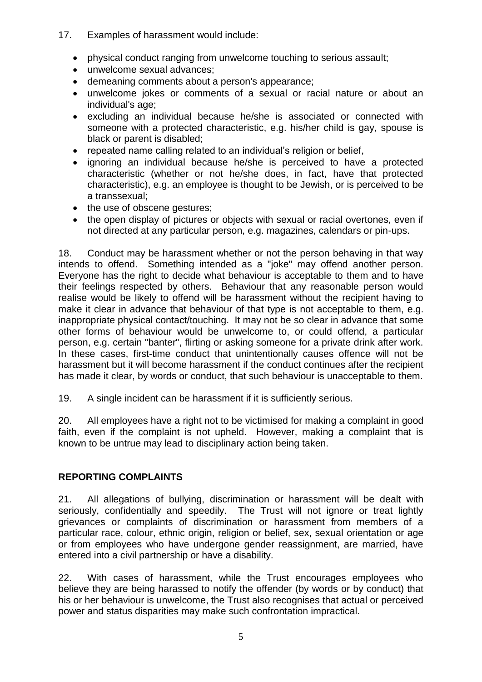- 17. Examples of harassment would include:
	- physical conduct ranging from unwelcome touching to serious assault;
	- unwelcome sexual advances;
	- demeaning comments about a person's appearance;
	- unwelcome jokes or comments of a sexual or racial nature or about an individual's age;
	- excluding an individual because he/she is associated or connected with someone with a protected characteristic, e.g. his/her child is gay, spouse is black or parent is disabled;
	- repeated name calling related to an individual's religion or belief,
	- ignoring an individual because he/she is perceived to have a protected characteristic (whether or not he/she does, in fact, have that protected characteristic), e.g. an employee is thought to be Jewish, or is perceived to be a transsexual;
	- the use of obscene gestures;
	- the open display of pictures or objects with sexual or racial overtones, even if not directed at any particular person, e.g. magazines, calendars or pin-ups.

18. Conduct may be harassment whether or not the person behaving in that way intends to offend. Something intended as a "joke" may offend another person. Everyone has the right to decide what behaviour is acceptable to them and to have their feelings respected by others. Behaviour that any reasonable person would realise would be likely to offend will be harassment without the recipient having to make it clear in advance that behaviour of that type is not acceptable to them, e.g. inappropriate physical contact/touching. It may not be so clear in advance that some other forms of behaviour would be unwelcome to, or could offend, a particular person, e.g. certain "banter", flirting or asking someone for a private drink after work. In these cases, first-time conduct that unintentionally causes offence will not be harassment but it will become harassment if the conduct continues after the recipient has made it clear, by words or conduct, that such behaviour is unacceptable to them.

19. A single incident can be harassment if it is sufficiently serious.

20. All employees have a right not to be victimised for making a complaint in good faith, even if the complaint is not upheld. However, making a complaint that is known to be untrue may lead to disciplinary action being taken.

#### **REPORTING COMPLAINTS**

21. All allegations of bullying, discrimination or harassment will be dealt with seriously, confidentially and speedily. The Trust will not ignore or treat lightly grievances or complaints of discrimination or harassment from members of a particular race, colour, ethnic origin, religion or belief, sex, sexual orientation or age or from employees who have undergone gender reassignment, are married, have entered into a civil partnership or have a disability.

22. With cases of harassment, while the Trust encourages employees who believe they are being harassed to notify the offender (by words or by conduct) that his or her behaviour is unwelcome, the Trust also recognises that actual or perceived power and status disparities may make such confrontation impractical.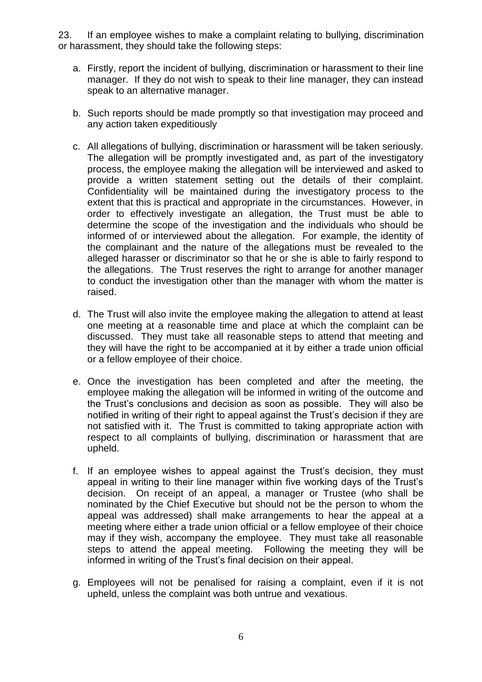23. If an employee wishes to make a complaint relating to bullying, discrimination or harassment, they should take the following steps:

- a. Firstly, report the incident of bullying, discrimination or harassment to their line manager. If they do not wish to speak to their line manager, they can instead speak to an alternative manager.
- b. Such reports should be made promptly so that investigation may proceed and any action taken expeditiously
- c. All allegations of bullying, discrimination or harassment will be taken seriously. The allegation will be promptly investigated and, as part of the investigatory process, the employee making the allegation will be interviewed and asked to provide a written statement setting out the details of their complaint. Confidentiality will be maintained during the investigatory process to the extent that this is practical and appropriate in the circumstances. However, in order to effectively investigate an allegation, the Trust must be able to determine the scope of the investigation and the individuals who should be informed of or interviewed about the allegation. For example, the identity of the complainant and the nature of the allegations must be revealed to the alleged harasser or discriminator so that he or she is able to fairly respond to the allegations. The Trust reserves the right to arrange for another manager to conduct the investigation other than the manager with whom the matter is raised.
- d. The Trust will also invite the employee making the allegation to attend at least one meeting at a reasonable time and place at which the complaint can be discussed. They must take all reasonable steps to attend that meeting and they will have the right to be accompanied at it by either a trade union official or a fellow employee of their choice.
- e. Once the investigation has been completed and after the meeting, the employee making the allegation will be informed in writing of the outcome and the Trust's conclusions and decision as soon as possible. They will also be notified in writing of their right to appeal against the Trust's decision if they are not satisfied with it. The Trust is committed to taking appropriate action with respect to all complaints of bullying, discrimination or harassment that are upheld.
- f. If an employee wishes to appeal against the Trust's decision, they must appeal in writing to their line manager within five working days of the Trust's decision. On receipt of an appeal, a manager or Trustee (who shall be nominated by the Chief Executive but should not be the person to whom the appeal was addressed) shall make arrangements to hear the appeal at a meeting where either a trade union official or a fellow employee of their choice may if they wish, accompany the employee. They must take all reasonable steps to attend the appeal meeting. Following the meeting they will be informed in writing of the Trust's final decision on their appeal.
- g. Employees will not be penalised for raising a complaint, even if it is not upheld, unless the complaint was both untrue and vexatious.